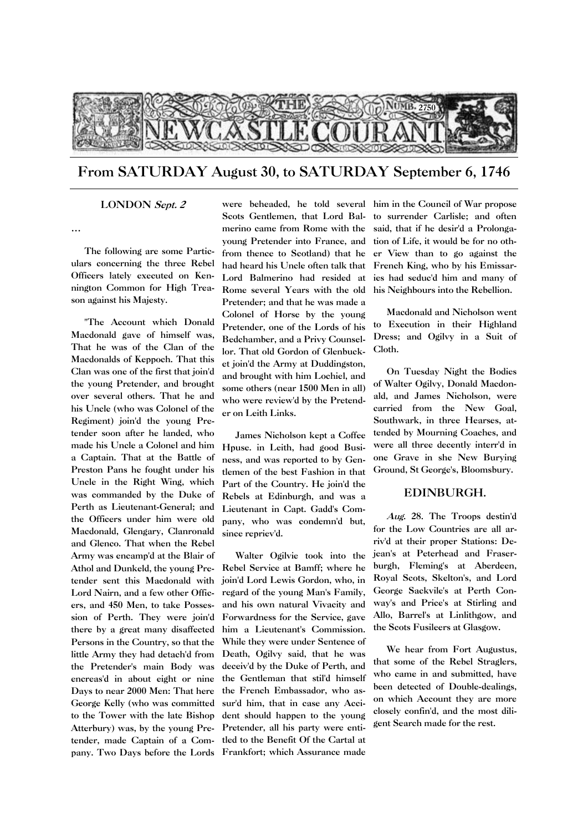

From SATURDAY August 30, to SATURDAY September 6, 1746

## LONDON Sept. 2

…

The following are some Particulars concerning the three Rebel Officers lately executed on Kennington Common for High Treason against his Majesty.

"The Account which Donald Macdonald gave of himself was, That he was of the Clan of the Macdonalds of Keppoch. That this Clan was one of the first that join'd the young Pretender, and brought over several others. That he and his Uncle (who was Colonel of the Regiment) join'd the young Pretender soon after he landed, who made his Uncle a Colonel and him a Captain. That at the Battle of Preston Pans he fought under his Uncle in the Right Wing, which was commanded by the Duke of Perth as Lieutenant-General; and the Officers under him were old Macdonald, Glengary, Clanronald and Glenco. That when the Rebel Army was encamp'd at the Blair of Athol and Dunkeld, the young Pretender sent this Macdonald with Lord Nairn, and a few other Officers, and 450 Men, to take Possession of Perth. They were join'd there by a great many disaffected Persons in the Country, so that the little Army they had detach'd from the Pretender's main Body was encreas'd in about eight or nine Days to near 2000 Men: That here George Kelly (who was committed to the Tower with the late Bishop Atterbury) was, by the young Pre-Pretender, all his party were entipany. Two Days before the Lords Frankfort; which Assurance made

Scots Gentlemen, that Lord Balmerino came from Rome with the young Pretender into France, and from thence to Scotland) that he had heard his Uncle often talk that Lord Balmerino had resided at ies had seduc'd him and many of Rome several Years with the old Pretender; and that he was made a Colonel of Horse by the young Pretender, one of the Lords of his Bedchamber, and a Privy Counsellor. That old Gordon of Glenbucket join'd the Army at Duddingston, and brought with him Lochiel, and some others (near 1500 Men in all) who were review'd by the Pretender on Leith Links.

James Nicholson kept a Coffee Hpuse. in Leith, had good Business, and was reported to by Gentlemen of the best Fashion in that Part of the Country. He join'd the Rebels at Edinburgh, and was a Lieutenant in Capt. Gadd's Company, who was condemn'd but, since repriev'd.

tender, made Captain of a Com-tled to the Benefit Of the Cartal at Walter Ogilvie took into the Rebel Service at Bamff; where he join'd Lord Lewis Gordon, who, in regard of the young Man's Family, and his own natural Vivacity and Forwardness for the Service, gave him a Lieutenant's Commission. While they were under Sentence of Death, Ogilvy said, that he was deceiv'd by the Duke of Perth, and the Gentleman that stil'd himself the French Embassador, who assur'd him, that in case any Accident should happen to the young

were beheaded, he told several him in the Council of War propose to surrender Carlisle; and often said, that if he desir'd a Prolongation of Life, it would be for no other View than to go against the French King, who by his Emissarhis Neighbours into the Rebellion.

> Macdonald and Nicholson went to Execution in their Highland Dress; and Ogilvy in a Suit of Cloth.

> On Tuesday Night the Bodies of Walter Ogilvy, Donald Macdonald, and James Nicholson, were carried from the New Goal, Southwark, in three Hearses, attended by Mourning Coaches, and were all three decently interr'd in one Grave in she New Burying Ground, St George's, Bloomsbury.

## EDINBURGH.

Aug. 28. The Troops destin'd for the Low Countries are all arriv'd at their proper Stations: Dejean's at Peterhead and Fraserburgh, Fleming's at Aberdeen, Royal Scots, Skelton's, and Lord George Sackvile's at Perth Conway's and Price's at Stirling and Allo, Barrel's at Linlithgow, and the Scots Fusileers at Glasgow.

We hear from Fort Augustus, that some of the Rebel Straglers, who came in and submitted, have been detected of Double-dealings, on which Account they are more closely confin'd, and the most diligent Search made for the rest.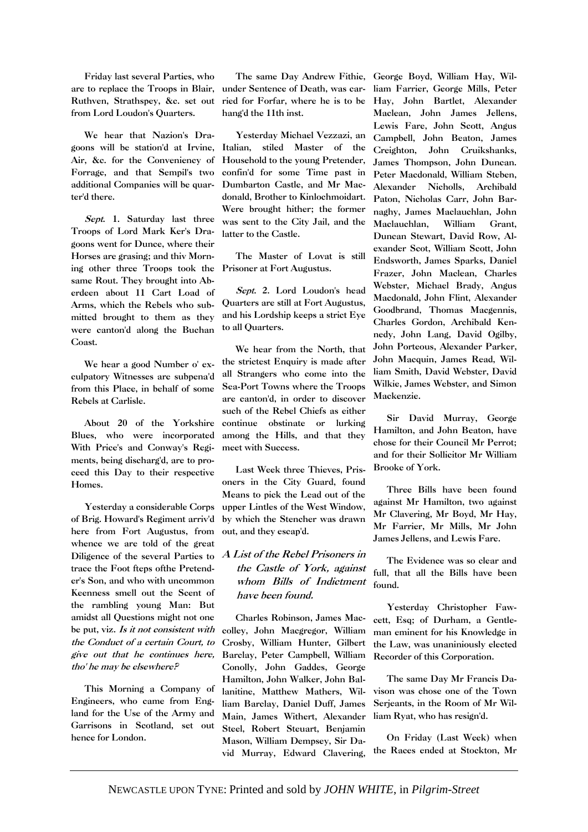Friday last several Parties, who are to replace the Troops in Blair, Ruthven, Strathspey, &c. set out from Lord Loudon's Quarters.

We hear that Nazion's Dragoons will be station'd at Irvine, Air, &c. for the Conveniency of Forrage, and that Sempil's two additional Companies will be quarter'd there.

Sept. 1. Saturday last three Troops of Lord Mark Ker's Dragoons went for Dunce, where their Horses are grasing; and thiv Morning other three Troops took the same Rout. They brought into Aberdeen about 11 Cart Load of Arms, which the Rebels who submitted brought to them as they were canton'd along the Buchan Coast.

We hear a good Number o' exculpatory Witnesses are subpena'd from this Place, in behalf of some Rebels at Carlisle.

About 20 of the Yorkshire Blues, who were incorporated With Price's and Conway's Regiments, being discharg'd, are to proceed this Day to their respective Homes.

Yesterday a considerable Corps of Brig. Howard's Regiment arriv'd here from Fort Augustus, from whence we are told of the great Diligence of the several Parties to trace the Foot fteps ofthe Pretender's Son, and who with uncommon Keenness smell out the Scent of the rambling young Man: But amidst all Questions might not one be put, viz. Is it not consistent with the Conduct of a certain Court, to give out that he continues here, tho' he may be elsewhere?

This Morning a Company of Engineers, who came from England for the Use of the Army and Garrisons in Scotland, set out hence for London.

under Sentence of Death, was carried for Forfar, where he is to be hang'd the 11th inst.

Yesterday Michael Vezzazi, an Italian, stiled Master of the Household to the young Pretender, confin'd for some Time past in Dumbarton Castle, and Mr Macdonald, Brother to Kinlochmoidart. Were brought hither; the former was sent to the City Jail, and the latter to the Castle.

The Master of Lovat is still Prisoner at Fort Augustus.

Sept. 2. Lord Loudon's head Quarters are still at Fort Augustus, and his Lordship keeps a strict Eye to all Quarters.

We hear from the North, that the strictest Enquiry is made after all Strangers who come into the Sea-Port Towns where the Troops are canton'd, in order to discover such of the Rebel Chiefs as either continue obstinate or lurking among the Hills, and that they meet with Success.

Last Week three Thieves, Prisoners in the City Guard, found Means to pick the Lead out of the upper Lintles of the West Window, by which the Stencher was drawn out, and they escap'd.

## A List of the Rebel Prisoners in the Castle of York, against whom Bills of Indictment have been found.

Charles Robinson, James Maccolley, John Macgregor, William Crosby, William Hunter, Gilbert Barclay, Peter Campbell, William Conolly, John Gaddes, George Hamilton, John Walker, John Ballanitine, Matthew Mathers, William Barclay, Daniel Duff, James Main, James Withert, Alexander Steel, Robert Steuart, Benjamin Mason, William Dempsey, Sir David Murray, Edward Clavering,

The same Day Andrew Fithie, George Boyd, William Hay, William Farrier, George Mills, Peter Hay, John Bartlet, Alexander Maclean, John James Jellens, Lewis Fare, John Scott, Angus Campbell, John Beaton, James Creighton, John Cruikshanks, James Thompson, John Duncan. Peter Macdonald, William Steben, Alexander Nicholls, Archibald Paton, Nicholas Carr, John Barnaghy, James Maclauchlan, John Maclauchlan, William Grant, Duncan Stewart, David Row, Alexander Scot, William Scott, John Endsworth, James Sparks, Daniel Frazer, John Maclean, Charles Webster, Michael Brady, Angus Macdonald, John Flint, Alexander Goodbrand, Thomas Macgennis, Charles Gordon, Archibald Kennedy, John Lang, David Ogilby, John Porteous, Alexander Parker, John Macquin, James Read, William Smith, David Webster, David Wilkie, James Webster, and Simon Mackenzie.

> Sir David Murray, George Hamilton, and John Beaton, have chose for their Council Mr Perrot; and for their Sollicitor Mr William Brooke of York.

> Three Bills have been found against Mr Hamilton, two against Mr Clavering, Mr Boyd, Mr Hay, Mr Farrier, Mr Mills, Mr John James Jellens, and Lewis Fare.

> The Evidence was so clear and full, that all the Bills have been found.

> Yesterday Christopher Fawcett, Esq; of Durham, a Gentleman eminent for his Knowledge in the Law, was unaniniously elected Recorder of this Corporation.

> The same Day Mr Francis Davison was chose one of the Town Serjeants, in the Room of Mr William Ryat, who has resign'd.

> On Friday (Last Week) when the Races ended at Stockton, Mr